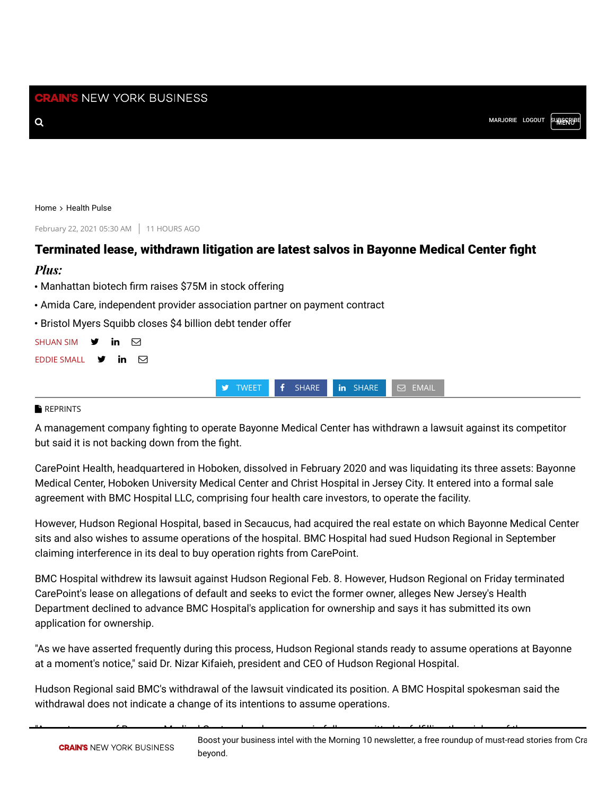#### [Home](https://www.crainsnewyork.com/) > [Health Pulse](https://www.crainsnewyork.com/health-pulse-0)

February 22, 2021 05:30 AM 11 HOURS AGO

# Terminated lease, withdrawn litigation are latest salvos in Bayonne Medical Center fight

### *Plus:*

- Manhattan biotech firm raises \$75M in stock offering
- Amida Care, independent provider association partner on payment contract
- Bristol Myers Squibb closes \$4 billion debt tender offer

| <b>SHUAN SIM</b>                                        | $\mathsf{y}$ in $\boxdot$ |  |
|---------------------------------------------------------|---------------------------|--|
| EDDIE SMALL $\mathbf{\mathcal{Y}}$ in $\mathbf{\nabla}$ |                           |  |

**TWEET f** [SHARE](http://www.linkedin.com/shareArticle?mini=1&url=https%3A//www.crainsnewyork.com/health-pulse/terminated-lease-withdrawn-litigation-are-latest-salvos-bayonne-medical-center-fight&title=Terminated%20lease%2C%20withdrawn%20litigation%20are%20latest%20salvos%20in%20Bayonne%20Medical%20Center%20fight&source=https%3A//www.crainsnewyork.com/health-pulse/terminated-lease-withdrawn-litigation-are-latest-salvos-bayonne-medical-center-fight) **in** SHARE **SHARE** 

### **[REPRINTS](https://www.crainsnewyork.com/node/59076)**

A management company fighting to operate Bayonne Medical Center has withdrawn a lawsuit against its competitor but said it is not backing down from the fight.

CarePoint Health, headquartered in Hoboken, dissolved in February 2020 and was liquidating its three assets: Bayonne Medical Center, Hoboken University Medical Center and Christ Hospital in Jersey City. It entered into a formal sale agreement with BMC Hospital LLC, comprising four health care investors, to operate the facility.

However, Hudson Regional Hospital, based in Secaucus, had acquired the real estate on which Bayonne Medical Center sits and also wishes to assume operations of the hospital. BMC Hospital had sued Hudson Regional in September claiming interference in its deal to buy operation rights from CarePoint.

BMC Hospital withdrew its lawsuit against Hudson Regional Feb. 8. However, Hudson Regional on Friday terminated CarePoint's lease on allegations of default and seeks to evict the former owner, alleges New Jersey's Health Department declined to advance BMC Hospital's application for ownership and says it has submitted its own application for ownership.

"As we have asserted frequently during this process, Hudson Regional stands ready to assume operations at Bayonne at a moment's notice," said Dr. Nizar Kifaieh, president and CEO of Hudson Regional Hospital.

Hudson Regional said BMC's withdrawal of the lawsuit vindicated its position. A BMC Hospital spokesman said the withdrawal does not indicate a change of its intentions to assume operations.

"As part owners of Bayonne Medical Center already, we remain fully committed to fullling the wishes of the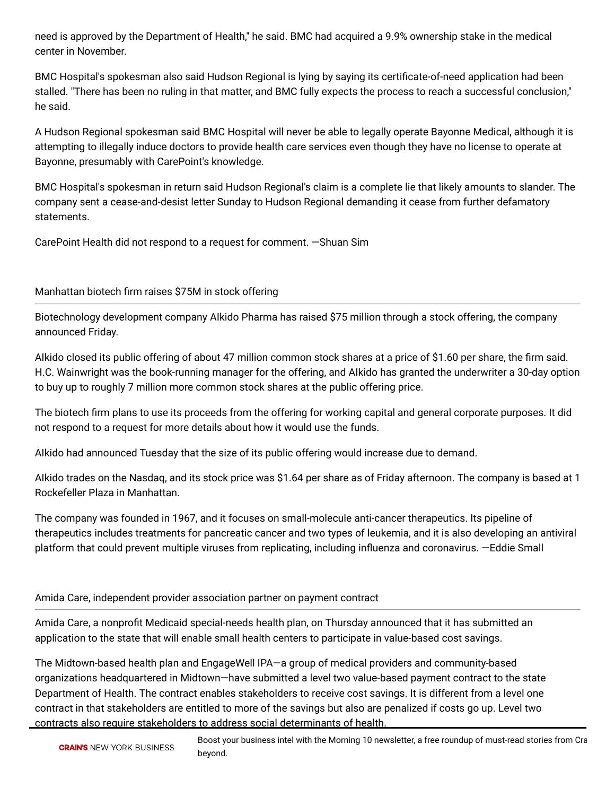need is approved by the Department of Health," he said. BMC had acquired a 9.9% ownership stake in the medical center in November.

BMC Hospital's spokesman also said Hudson Regional is lying by saying its certificate-of-need application had been stalled. "There has been no ruling in that matter, and BMC fully expects the process to reach a successful conclusion," he said.

A Hudson Regional spokesman said BMC Hospital will never be able to legally operate Bayonne Medical, although it is attempting to illegally induce doctors to provide health care services even though they have no license to operate at Bayonne, presumably with CarePoint's knowledge.

BMC Hospital's spokesman in return said Hudson Regional's claim is a complete lie that likely amounts to slander. The company sent a cease-and-desist letter Sunday to Hudson Regional demanding it cease from further defamatory statements.

CarePoint Health did not respond to a request for comment. —Shuan Sim

# Manhattan biotech firm raises \$75M in stock offering

Biotechnology development company AIkido Pharma has raised \$75 million through a stock offering, the company announced Friday.

Alkido closed its public offering of about 47 million common stock shares at a price of \$1.60 per share, the firm said. H.C. Wainwright was the book-running manager for the offering, and AIkido has granted the underwriter a 30-day option to buy up to roughly 7 million more common stock shares at the public offering price.

The biotech firm plans to use its proceeds from the offering for working capital and general corporate purposes. It did not respond to a request for more details about how it would use the funds.

AIkido had announced Tuesday that the size of its public offering would increase due to demand.

AIkido trades on the Nasdaq, and its stock price was \$1.64 per share as of Friday afternoon. The company is based at 1 Rockefeller Plaza in Manhattan.

The company was founded in 1967, and it focuses on small-molecule anti-cancer therapeutics. Its pipeline of therapeutics includes treatments for pancreatic cancer and two types of leukemia, and it is also developing an antiviral platform that could prevent multiple viruses from replicating, including influenza and coronavirus. -Eddie Small

## Amida Care, independent provider association partner on payment contract

Amida Care, a nonprofit Medicaid special-needs health plan, on Thursday announced that it has submitted an application to the state that will enable small health centers to participate in value-based cost savings.

The Midtown-based health plan and EngageWell IPA—a group of medical providers and community-based organizations headquartered in Midtown—have submitted a level two value-based payment contract to the state Department of Health. The contract enables stakeholders to receive cost savings. It is different from a level one contract in that stakeholders are entitled to more of the savings but also are penalized if costs go up. Level two contracts also require stakeholders to address social determinants of health.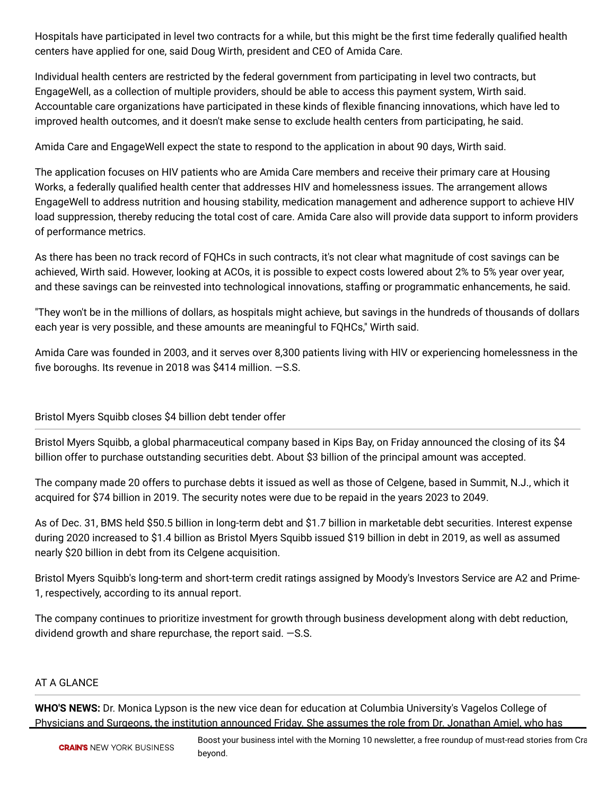Hospitals have participated in level two contracts for a while, but this might be the first time federally qualified health centers have applied for one, said Doug Wirth, president and CEO of Amida Care.

Individual health centers are restricted by the federal government from participating in level two contracts, but EngageWell, as a collection of multiple providers, should be able to access this payment system, Wirth said. Accountable care organizations have participated in these kinds of flexible financing innovations, which have led to improved health outcomes, and it doesn't make sense to exclude health centers from participating, he said.

Amida Care and EngageWell expect the state to respond to the application in about 90 days, Wirth said.

The application focuses on HIV patients who are Amida Care members and receive their primary care at Housing Works, a federally qualified health center that addresses HIV and homelessness issues. The arrangement allows EngageWell to address nutrition and housing stability, medication management and adherence support to achieve HIV load suppression, thereby reducing the total cost of care. Amida Care also will provide data support to inform providers of performance metrics.

As there has been no track record of FQHCs in such contracts, it's not clear what magnitude of cost savings can be achieved, Wirth said. However, looking at ACOs, it is possible to expect costs lowered about 2% to 5% year over year, and these savings can be reinvested into technological innovations, staffing or programmatic enhancements, he said.

"They won't be in the millions of dollars, as hospitals might achieve, but savings in the hundreds of thousands of dollars each year is very possible, and these amounts are meaningful to FQHCs," Wirth said.

Amida Care was founded in 2003, and it serves over 8,300 patients living with HIV or experiencing homelessness in the five boroughs. Its revenue in 2018 was \$414 million.  $-S.S.$ 

# Bristol Myers Squibb closes \$4 billion debt tender offer

Bristol Myers Squibb, a global pharmaceutical company based in Kips Bay, on Friday announced the closing of its \$4 billion offer to purchase outstanding securities debt. About \$3 billion of the principal amount was accepted.

The company made 20 offers to purchase debts it issued as well as those of Celgene, based in Summit, N.J., which it acquired for \$74 billion in 2019. The security notes were due to be repaid in the years 2023 to 2049.

As of Dec. 31, BMS held \$50.5 billion in long-term debt and \$1.7 billion in marketable debt securities. Interest expense during 2020 increased to \$1.4 billion as Bristol Myers Squibb issued \$19 billion in debt in 2019, as well as assumed nearly \$20 billion in debt from its Celgene acquisition.

Bristol Myers Squibb's long-term and short-term credit ratings assigned by Moody's Investors Service are A2 and Prime-1, respectively, according to its annual report.

The company continues to prioritize investment for growth through business development along with debt reduction, dividend growth and share repurchase, the report said. —S.S.

## AT A GLANCE

**WHO'S NEWS:** Dr. Monica Lypson is the new vice dean for education at Columbia University's Vagelos College of Physicians and Surgeons, the institution announced Friday. She assumes the role from Dr. Jonathan Amiel, who has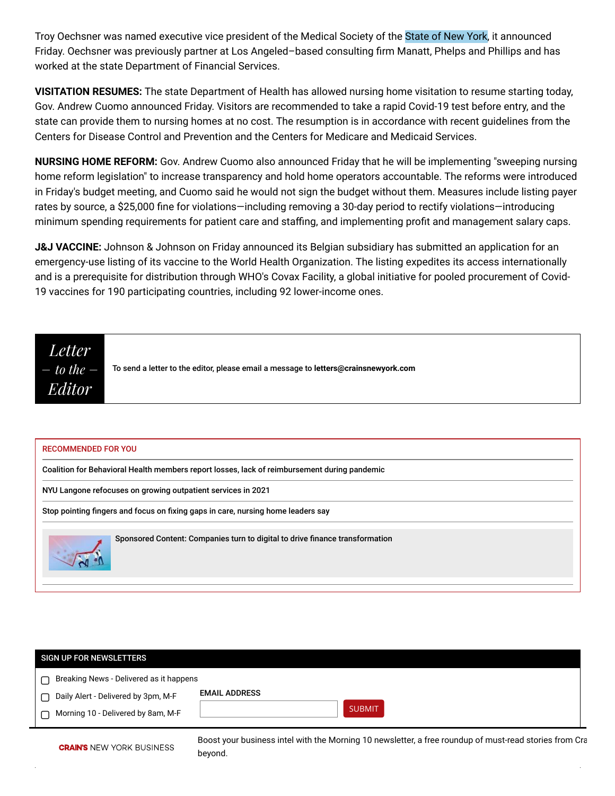Troy Oechsner was named executive vice president of the Medical Society of the State of New York, it announced Friday. Oechsner was previously partner at Los Angeled-based consulting firm Manatt, Phelps and Phillips and has worked at the state Department of Financial Services.

**VISITATION RESUMES:** The state Department of Health has allowed nursing home visitation to resume starting today, Gov. Andrew Cuomo announced Friday. Visitors are recommended to take a rapid Covid-19 test before entry, and the state can provide them to nursing homes at no cost. The resumption is in accordance with recent guidelines from the Centers for Disease Control and Prevention and the Centers for Medicare and Medicaid Services.

**NURSING HOME REFORM:** Gov. Andrew Cuomo also announced Friday that he will be implementing "sweeping nursing home reform legislation" to increase transparency and hold home operators accountable. The reforms were introduced in Friday's budget meeting, and Cuomo said he would not sign the budget without them. Measures include listing payer rates by source, a \$25,000 fine for violations—including removing a 30-day period to rectify violations—introducing minimum spending requirements for patient care and staffing, and implementing profit and management salary caps.

**J&J VACCINE:** Johnson & Johnson on Friday announced its Belgian subsidiary has submitted an application for an emergency-use listing of its vaccine to the World Health Organization. The listing expedites its access internationally and is a prerequisite for distribution through WHO's Covax Facility, a global initiative for pooled procurement of Covid-19 vaccines for 190 participating countries, including 92 lower-income ones.



### RECOMMENDED FOR YOU

[Coalition for Behavioral Health members report losses, lack of reimbursement during pandemic](https://www.crainsnewyork.com/health-pulse/coalition-behavioral-health-members-report-losses-lack-reimbursement-during-pandemic)

[NYU Langone refocuses on growing outpatient services in 2021](https://www.crainsnewyork.com/health-pulse/nyu-langone-refocuses-growing-outpatient-services-2021)

Stop pointing fingers and focus on fixing gaps in care, nursing home leaders say



Sponsored Content: Companies turn to digital to drive finance transformation

| SIGN UP FOR NEWSLETTERS                      |                      |
|----------------------------------------------|----------------------|
| Breaking News - Delivered as it happens<br>∩ |                      |
| ∩ Daily Alert - Delivered by 3pm, M-F        | <b>EMAIL ADDRESS</b> |
| Morning 10 - Delivered by 8am, M-F           | <b>SUBMIT</b>        |
|                                              |                      |

Boost your business intel with the Morning 10 newsletter, a free roundup of must-read stories from Cra beyond.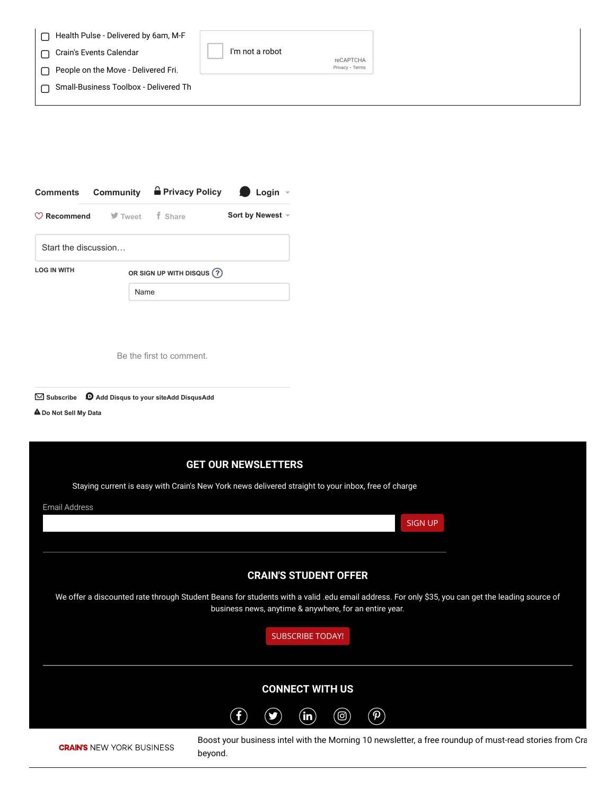| Health Pulse - Delivered by 6am, M-F  |                 |                 |  |
|---------------------------------------|-----------------|-----------------|--|
| Crain's Events Calendar               | I'm not a robot | reCAPTCHA       |  |
| People on the Move - Delivered Fri.   |                 | Privacy - Terms |  |
| Small-Business Toolbox - Delivered Th |                 |                 |  |
|                                       |                 |                 |  |

|                                                  |                           | Comments Community <b>a</b> Privacy Policy <b>D</b> Login - |                  |  |  |  |  |  |
|--------------------------------------------------|---------------------------|-------------------------------------------------------------|------------------|--|--|--|--|--|
|                                                  | Recommend V Tweet f Share |                                                             | Sort by Newest ▼ |  |  |  |  |  |
| Start the discussion                             |                           |                                                             |                  |  |  |  |  |  |
| <b>LOG IN WITH</b><br>OR SIGN UP WITH DISQUS (?) |                           |                                                             |                  |  |  |  |  |  |
|                                                  | Name                      |                                                             |                  |  |  |  |  |  |
|                                                  |                           |                                                             |                  |  |  |  |  |  |

Be the first to comment.



⚠**[Do Not Sell My Data](https://disqus.com/data-sharing-settings/)**



Boost your business intel with the Morning 10 newsletter, a free roundup of must-read stories from Cra beyond.